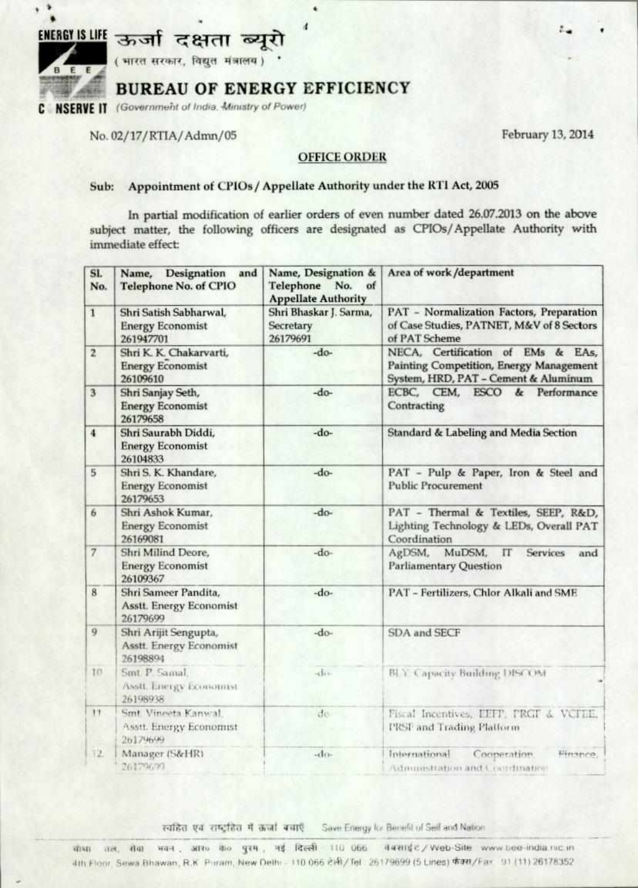



٠ ٠

( भारत सरकार, विद्युत मंत्रालय) '

# **BUREAU OF ENERGY EFFICIENCY**

**C NSERVE IT** (Government of India. Ministry of Power)

No. 02/17/ RITA/Adam/05 February **13, 2014** 

#### **OFFICE ORDER**

# **Sub: Appointment of CP10s / Appellate Authority under the RTI Act, 2005**

**In partial modification of earlier orders of even number dated 26.07.2013 on the above subject matter, the following officers are designated as CPI0s/ Appellate Authority with immediate effect** 

| SI.<br>No.     | Designation<br>and<br>Name,<br><b>Telephone No. of CPIO</b>        | Name, Designation &<br>Telephone No.<br>of<br><b>Appellate Authority</b> | Area of work/department                                                                                              |
|----------------|--------------------------------------------------------------------|--------------------------------------------------------------------------|----------------------------------------------------------------------------------------------------------------------|
| $\mathbf{1}$   | Shri Satish Sabharwal,<br><b>Energy Economist</b><br>261947701     | Shri Bhaskar J. Sarma,<br>Secretary<br>26179691                          | PAT - Normalization Factors, Preparation<br>of Case Studies, PATNET, M&V of 8 Sectors<br>of PAT Scheme               |
| $\overline{2}$ | Shri K. K. Chakarvarti,<br><b>Energy Economist</b><br>26109610     | $-do-$                                                                   | NECA, Certification of EMs & EAs,<br>Painting Competition, Energy Management<br>System, HRD, PAT - Cement & Aluminum |
| $\overline{3}$ | Shri Sanjay Seth,<br><b>Energy Economist</b><br>26179658           | -do-                                                                     | ECBC, CEM, ESCO & Performance<br>Contracting                                                                         |
| $\frac{4}{3}$  | Shri Saurabh Diddi,<br><b>Energy Economist</b><br>26104833         | -do-                                                                     | Standard & Labeling and Media Section                                                                                |
| 5              | Shri S. K. Khandare,<br><b>Energy Economist</b><br>26179653        | -do-                                                                     | PAT - Pulp & Paper, Iron & Steel and<br><b>Public Procurement</b>                                                    |
| 6              | Shri Ashok Kumar,<br><b>Energy Economist</b><br>26169081           | $-do-$                                                                   | PAT - Thermal & Textiles, SEEP, R&D,<br>Lighting Technology & LEDs, Overall PAT<br>Coordination                      |
| $\overline{7}$ | Shri Milind Deore,<br><b>Energy Economist</b><br>26109367          | -do-                                                                     | AgDSM, MuDSM,<br>$_{\text{IT}}$<br><b>Services</b><br>and<br><b>Parliamentary Question</b>                           |
| 8              | Shri Sameer Pandita,<br><b>Asstt.</b> Energy Economist<br>26179699 | -do-                                                                     | PAT - Fertilizers, Chlor Alkali and SME                                                                              |
| 9              | Shri Arijit Sengupta,<br>Asstt. Energy Economist<br>26198894       | $-do-$                                                                   | SDA and SECF                                                                                                         |
| 10             | Smt P. Samal:<br>Asstt. Energy Economist<br>26198938               | div                                                                      | BLY. Capacity Building DISCOM                                                                                        |
| $\mathbf{H}$   | Smt. Vineeta Kanwal.<br>Asstt. Energy Economist<br>26179699        | de                                                                       | Fiscal Incentives, EEFP, FRGF & VCFIE,<br>PRSF and Trading Platform                                                  |
| 12.            | Manager (S&HR)<br>26179699                                         | $-dn$                                                                    | International<br>Cooperation.<br>Hinance.<br>Administration and Coordinative                                         |

स्वहित एवं राष्ट्रहित में कर्जा बचाएं Save Energy kx Benefit of Self and Nation

illve oat. am 4n30 Ttst cei lerit flu **Ot,** 4 44ii-4 e Web-Site vowy• ciao -moat ve.in 4th Floor, Sews Bhawan, R.K. Pitram, New Delhi - 110 066 2:41/ Tel 26179699 (5 Lines)  $641/Far - 91 (11)$  26178352